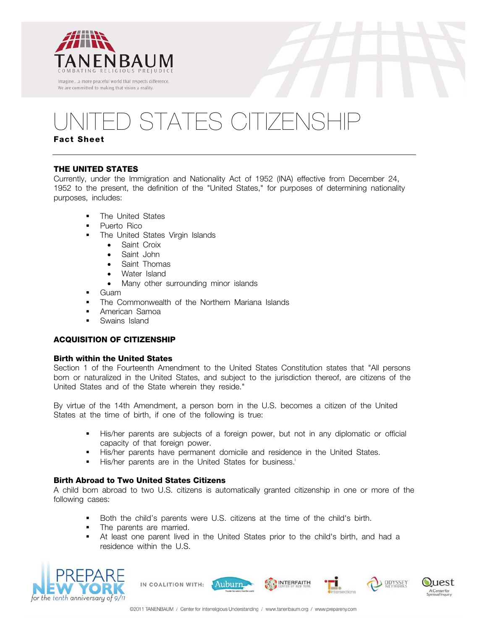

# D STATES CITIZENSHIP

## **Fact Sheet**

## **THE UNITED STATES**

Currently, under the Immigration and Nationality Act of 1952 (INA) effective from December 24, 1952 to the present, the definition of the "United States," for purposes of determining nationality purposes, includes:

- **The United States**
- Puerto Rico
- The United States Virgin Islands
	- Saint Croix
	- Saint John
	- Saint Thomas
	- Water Island
	- Many other surrounding minor islands
- **Guam**
- The Commonwealth of the Northern Mariana Islands
- **-** American Samoa
- **Swains Island**

## **ACQUISITION OF CITIZENSHIP**

## **Birth within the United States**

Section 1 of the Fourteenth Amendment to the United States Constitution states that "All persons born or naturalized in the United States, and subject to the jurisdiction thereof, are citizens of the United States and of the State wherein they reside."

By virtue of the 14th Amendment, a person born in the U.S. becomes a citizen of the United States at the time of birth, if one of the following is true:

- His/her parents are subjects of a foreign power, but not in any diplomatic or official capacity of that foreign power.
- His/her parents have permanent domicile and residence in the United States.
- His/her parents are in the United States for business.<sup>i</sup>

## **Birth Abroad to Two United States Citizens**

A child born abroad to two U.S. citizens is automatically granted citizenship in one or more of the following cases:

- Both the child's parents were U.S. citizens at the time of the child's birth.
- The parents are married.
- At least one parent lived in the United States prior to the child's birth, and had a residence within the U.S.



IN COALITION WITH:



ODYSSEY

uest

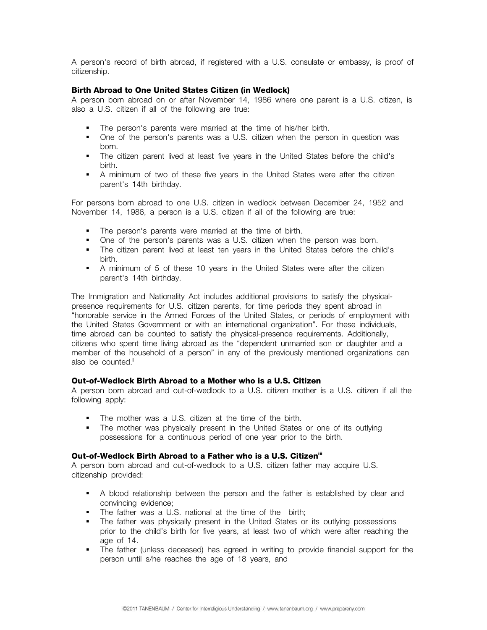A person's record of birth abroad, if registered with a U.S. consulate or embassy, is proof of citizenship.

## **Birth Abroad to One United States Citizen (in Wedlock)**

A person born abroad on or after November 14, 1986 where one parent is a U.S. citizen, is also a U.S. citizen if all of the following are true:

- **The person's parents were married at the time of his/her birth.**
- One of the person's parents was a U.S. citizen when the person in question was born.
- The citizen parent lived at least five years in the United States before the child's birth.
- A minimum of two of these five years in the United States were after the citizen parent's 14th birthday.

For persons born abroad to one U.S. citizen in wedlock between December 24, 1952 and November 14, 1986, a person is a U.S. citizen if all of the following are true:

- The person's parents were married at the time of birth.
- One of the person's parents was a U.S. citizen when the person was born.
- The citizen parent lived at least ten years in the United States before the child's birth.
- A minimum of 5 of these 10 years in the United States were after the citizen parent's 14th birthday.

The Immigration and Nationality Act includes additional provisions to satisfy the physicalpresence requirements for U.S. citizen parents, for time periods they spent abroad in "honorable service in the Armed Forces of the United States, or periods of employment with the United States Government or with an international organization". For these individuals, time abroad can be counted to satisfy the physical-presence requirements. Additionally, citizens who spent time living abroad as the "dependent unmarried son or daughter and a member of the household of a person" in any of the previously mentioned organizations can also be counted.<sup>ii</sup>

## **Out-of-Wedlock Birth Abroad to a Mother who is a U.S. Citizen**

A person born abroad and out-of-wedlock to a U.S. citizen mother is a U.S. citizen if all the following apply:

- The mother was a U.S. citizen at the time of the birth.
- The mother was physically present in the United States or one of its outlying possessions for a continuous period of one year prior to the birth.

## **Out-of-Wedlock Birth Abroad to a Father who is a U.S. Citizen<sup>iii</sup>**

A person born abroad and out-of-wedlock to a U.S. citizen father may acquire U.S. citizenship provided:

- A blood relationship between the person and the father is established by clear and convincing evidence;
- The father was a U.S. national at the time of the birth;
- The father was physically present in the United States or its outlying possessions prior to the child's birth for five years, at least two of which were after reaching the age of 14.
- The father (unless deceased) has agreed in writing to provide financial support for the person until s/he reaches the age of 18 years, and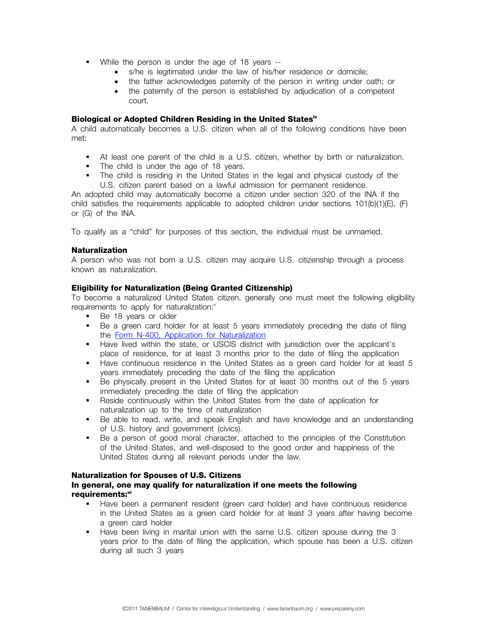- While the person is under the age of 18 years --
	- s/he is legitimated under the law of his/her residence or domicile;
	- the father acknowledges paternity of the person in writing under oath; or
	- the paternity of the person is established by adjudication of a competent court.

#### **Biological or Adopted Children Residing in the United Statesiv**

A child automatically becomes a U.S. citizen when all of the following conditions have been met:

- At least one parent of the child is a U.S. citizen, whether by birth or naturalization.
- The child is under the age of 18 years.
- The child is residing in the United States in the legal and physical custody of the U.S. citizen parent based on a lawful admission for permanent residence.

An adopted child may automatically become a citizen under section 320 of the INA if the child satisfies the requirements applicable to adopted children under sections 101(b)(1)(E), (F) or (G) of the INA.

To qualify as a "child" for purposes of this section, the individual must be unmarried.

#### **Naturalization**

A person who was not born a U.S. citizen may acquire U.S. citizenship through a process known as naturalization.

#### **Eligibility for Naturalization (Being Granted Citizenship)**

To become a naturalized United States citizen, generally one must meet the following eligibility requirements to apply for naturalization:<sup>v</sup>

- Be 18 years or older
- Be a green card holder for at least 5 years immediately preceding the date of filing the Form N-400, Application for Naturalization
- Have lived within the state, or USCIS district with jurisdiction over the applicant's place of residence, for at least 3 months prior to the date of filing the application
- Have continuous residence in the United States as a green card holder for at least 5 years immediately preceding the date of the filing the application
- Be physically present in the United States for at least 30 months out of the 5 years immediately preceding the date of filing the application
- Reside continuously within the United States from the date of application for naturalization up to the time of naturalization
- Be able to read, write, and speak English and have knowledge and an understanding of U.S. history and government (civics).
- Be a person of good moral character, attached to the principles of the Constitution of the United States, and well-disposed to the good order and happiness of the United States during all relevant periods under the law.

#### **Naturalization for Spouses of U.S. Citizens**

## **In general, one may qualify for naturalization if one meets the following**  requirements:<sup>vi</sup>

- Have been a permanent resident (green card holder) and have continuous residence in the United States as a green card holder for at least 3 years after having become a green card holder
- Have been living in marital union with the same U.S. citizen spouse during the 3 years prior to the date of filing the application, which spouse has been a U.S. citizen during all such 3 years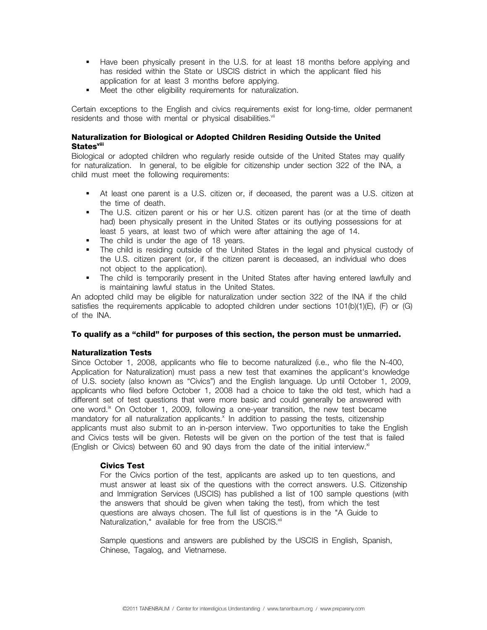- Have been physically present in the U.S. for at least 18 months before applying and has resided within the State or USCIS district in which the applicant filed his application for at least 3 months before applying.
- **Meet the other eligibility requirements for naturalization.**

Certain exceptions to the English and civics requirements exist for long-time, older permanent residents and those with mental or physical disabilities.<sup>vii</sup>

## **Naturalization for Biological or Adopted Children Residing Outside the United Statesviii**

Biological or adopted children who regularly reside outside of the United States may qualify for naturalization. In general, to be eligible for citizenship under section 322 of the INA, a child must meet the following requirements:

- At least one parent is a U.S. citizen or, if deceased, the parent was a U.S. citizen at the time of death.
- The U.S. citizen parent or his or her U.S. citizen parent has (or at the time of death had) been physically present in the United States or its outlying possessions for at least 5 years, at least two of which were after attaining the age of 14.
- The child is under the age of 18 years.
- The child is residing outside of the United States in the legal and physical custody of the U.S. citizen parent (or, if the citizen parent is deceased, an individual who does not object to the application).
- The child is temporarily present in the United States after having entered lawfully and is maintaining lawful status in the United States.

An adopted child may be eligible for naturalization under section 322 of the INA if the child satisfies the requirements applicable to adopted children under sections 101(b)(1)(E), (F) or (G) of the INA.

#### **To qualify as a "child" for purposes of this section, the person must be unmarried.**

#### **Naturalization Tests**

Since October 1, 2008, applicants who file to become naturalized (i.e., who file the N-400, Application for Naturalization) must pass a new test that examines the applicant's knowledge of U.S. society (also known as "Civics") and the English language. Up until October 1, 2009, applicants who filed before October 1, 2008 had a choice to take the old test, which had a different set of test questions that were more basic and could generally be answered with one word.<sup>ix</sup> On October 1, 2009, following a one-year transition, the new test became mandatory for all naturalization applicants.<sup>x</sup> In addition to passing the tests, citizenship applicants must also submit to an in-person interview. Two opportunities to take the English and Civics tests will be given. Retests will be given on the portion of the test that is failed (English or Civics) between 60 and 90 days from the date of the initial interview. $x_i$ 

#### **Civics Test**

For the Civics portion of the test, applicants are asked up to ten questions, and must answer at least six of the questions with the correct answers. U.S. Citizenship and Immigration Services (USCIS) has published a list of 100 sample questions (with the answers that should be given when taking the test), from which the test questions are always chosen. The full list of questions is in the "A Guide to Naturalization," available for free from the USCIS.<sup>xii</sup>

Sample questions and answers are published by the USCIS in English, Spanish, Chinese, Tagalog, and Vietnamese.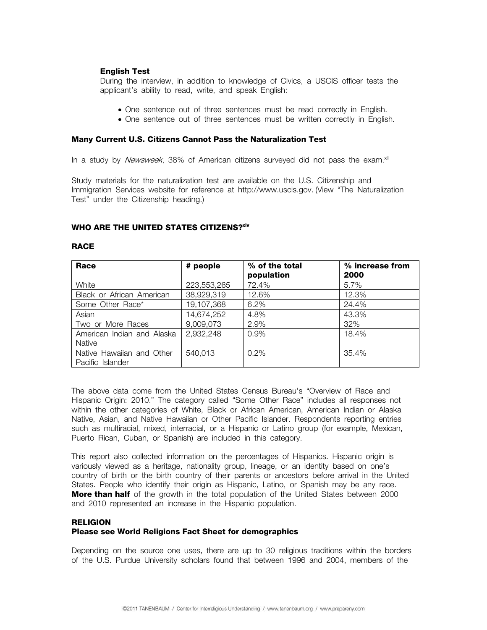## **English Test**

During the interview, in addition to knowledge of Civics, a USCIS officer tests the applicant's ability to read, write, and speak English:

- One sentence out of three sentences must be read correctly in English.
- One sentence out of three sentences must be written correctly in English.

#### **Many Current U.S. Citizens Cannot Pass the Naturalization Test**

In a study by *Newsweek*, 38% of American citizens surveyed did not pass the exam. $x^{iii}$ 

Study materials for the naturalization test are available on the U.S. Citizenship and Immigration Services website for reference at http://www.uscis.gov. (View "The Naturalization Test" under the Citizenship heading.)

#### **WHO ARE THE UNITED STATES CITIZENS?xiv**

#### **RACE**

| Race                                          | # people    | % of the total<br>population | % increase from<br>2000 |
|-----------------------------------------------|-------------|------------------------------|-------------------------|
| White                                         | 223,553,265 | 72.4%                        | 5.7%                    |
| Black or African American                     | 38,929,319  | 12.6%                        | 12.3%                   |
| Some Other Race*                              | 19,107,368  | 6.2%                         | 24.4%                   |
| Asian                                         | 14,674,252  | 4.8%                         | 43.3%                   |
| Two or More Races                             | 9,009,073   | 2.9%                         | 32%                     |
| American Indian and Alaska<br>Native          | 2,932,248   | 0.9%                         | 18.4%                   |
| Native Hawaiian and Other<br>Pacific Islander | 540,013     | $0.2\%$                      | 35.4%                   |

The above data come from the United States Census Bureau's "Overview of Race and Hispanic Origin: 2010." The category called "Some Other Race" includes all responses not within the other categories of White, Black or African American, American Indian or Alaska Native, Asian, and Native Hawaiian or Other Pacific Islander. Respondents reporting entries such as multiracial, mixed, interracial, or a Hispanic or Latino group (for example, Mexican, Puerto Rican, Cuban, or Spanish) are included in this category.

This report also collected information on the percentages of Hispanics. Hispanic origin is variously viewed as a heritage, nationality group, lineage, or an identity based on one's country of birth or the birth country of their parents or ancestors before arrival in the United States. People who identify their origin as Hispanic, Latino, or Spanish may be any race. **More than half** of the growth in the total population of the United States between 2000 and 2010 represented an increase in the Hispanic population.

#### **RELIGION**

#### **Please see World Religions Fact Sheet for demographics**

Depending on the source one uses, there are up to 30 religious traditions within the borders of the U.S. Purdue University scholars found that between 1996 and 2004, members of the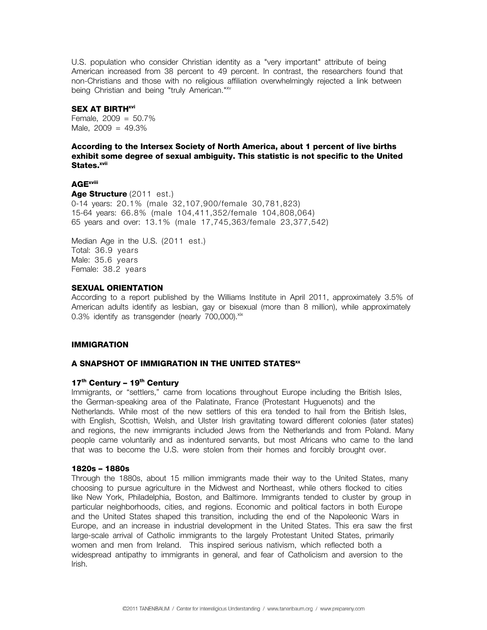U.S. population who consider Christian identity as a "very important" attribute of being American increased from 38 percent to 49 percent. In contrast, the researchers found that non-Christians and those with no religious affiliation overwhelmingly rejected a link between being Christian and being "truly American."<sup>xv</sup>

#### **SEX AT BIRTH**<sup>xvi</sup>

Female,  $2009 = 50.7\%$ Male,  $2009 = 49.3\%$ 

**According to the Intersex Society of North America, about 1 percent of live births exhibit some degree of sexual ambiguity. This statistic is not specific to the United States.**xvii

## **AGExviii**

**Age Structure** (2011 est.) 0-14 years: 20.1% (male 32,107,900/female 30,781,823) 15-64 years: 66.8% (male 104,411,352/female 104,808,064) 65 years and over: 13.1% (male 17,745,363/female 23,377,542)

Median Age in the U.S. (2011 est.) Total: 36.9 years Male: 35.6 years Female: 38.2 years

#### **SEXUAL ORIENTATION**

According to a report published by the Williams Institute in April 2011, approximately 3.5% of American adults identify as lesbian, gay or bisexual (more than 8 million), while approximately  $0.3\%$  identify as transgender (nearly  $700,000$ ).  $x$ ix

#### **IMMIGRATION**

## **A SNAPSHOT OF IMMIGRATION IN THE UNITED STATES**xx

## **17th Century – 19th Century**

Immigrants, or "settlers," came from locations throughout Europe including the British Isles, the German-speaking area of the Palatinate, France (Protestant Huguenots) and the Netherlands. While most of the new settlers of this era tended to hail from the British Isles, with English, Scottish, Welsh, and Ulster Irish gravitating toward different colonies (later states) and regions, the new immigrants included Jews from the Netherlands and from Poland. Many people came voluntarily and as indentured servants, but most Africans who came to the land that was to become the U.S. were stolen from their homes and forcibly brought over.

#### **1820s – 1880s**

Through the 1880s, about 15 million immigrants made their way to the United States, many choosing to pursue agriculture in the Midwest and Northeast, while others flocked to cities like New York, Philadelphia, Boston, and Baltimore. Immigrants tended to cluster by group in particular neighborhoods, cities, and regions. Economic and political factors in both Europe and the United States shaped this transition, including the end of the Napoleonic Wars in Europe, and an increase in industrial development in the United States. This era saw the first large-scale arrival of Catholic immigrants to the largely Protestant United States, primarily women and men from Ireland. This inspired serious nativism, which reflected both a widespread antipathy to immigrants in general, and fear of Catholicism and aversion to the Irish.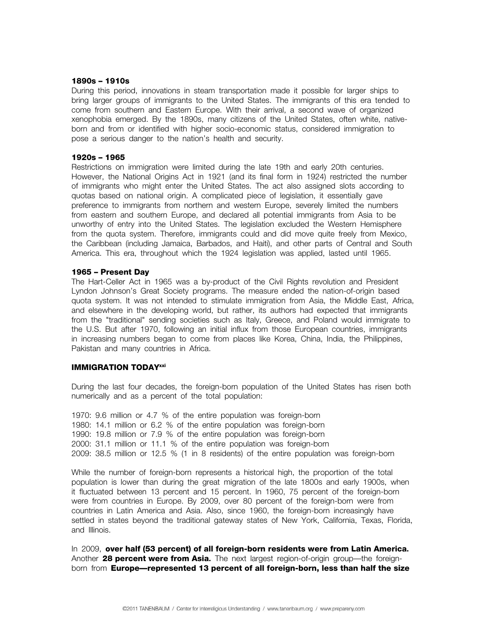#### **1890s – 1910s**

During this period, innovations in steam transportation made it possible for larger ships to bring larger groups of immigrants to the United States. The immigrants of this era tended to come from southern and Eastern Europe. With their arrival, a second wave of organized xenophobia emerged. By the 1890s, many citizens of the United States, often white, nativeborn and from or identified with higher socio-economic status, considered immigration to pose a serious danger to the nation's health and security.

#### **1920s – 1965**

Restrictions on immigration were limited during the late 19th and early 20th centuries. However, the National Origins Act in 1921 (and its final form in 1924) restricted the number of immigrants who might enter the United States. The act also assigned slots according to quotas based on national origin. A complicated piece of legislation, it essentially gave preference to immigrants from northern and western Europe, severely limited the numbers from eastern and southern Europe, and declared all potential immigrants from Asia to be unworthy of entry into the United States. The legislation excluded the Western Hemisphere from the quota system. Therefore, immigrants could and did move quite freely from Mexico, the Caribbean (including Jamaica, Barbados, and Haiti), and other parts of Central and South America. This era, throughout which the 1924 legislation was applied, lasted until 1965.

#### **1965 – Present Day**

The Hart-Celler Act in 1965 was a by-product of the Civil Rights revolution and President Lyndon Johnson's Great Society programs. The measure ended the nation-of-origin based quota system. It was not intended to stimulate immigration from Asia, the Middle East, Africa, and elsewhere in the developing world, but rather, its authors had expected that immigrants from the "traditional" sending societies such as Italy, Greece, and Poland would immigrate to the U.S. But after 1970, following an initial influx from those European countries, immigrants in increasing numbers began to come from places like Korea, China, India, the Philippines, Pakistan and many countries in Africa.

## **IMMIGRATION TODAYxxi**

During the last four decades, the foreign-born population of the United States has risen both numerically and as a percent of the total population:

1970: 9.6 million or 4.7 % of the entire population was foreign-born 1980: 14.1 million or 6.2 % of the entire population was foreign-born 1990: 19.8 million or 7.9 % of the entire population was foreign-born 2000: 31.1 million or 11.1 % of the entire population was foreign-born 2009: 38.5 million or 12.5 % (1 in 8 residents) of the entire population was foreign-born

While the number of foreign-born represents a historical high, the proportion of the total population is lower than during the great migration of the late 1800s and early 1900s, when it fluctuated between 13 percent and 15 percent. In 1960, 75 percent of the foreign-born were from countries in Europe. By 2009, over 80 percent of the foreign-born were from countries in Latin America and Asia. Also, since 1960, the foreign-born increasingly have settled in states beyond the traditional gateway states of New York, California, Texas, Florida, and Illinois.

In 2009, **over half (53 percent) of all foreign-born residents were from Latin America.** Another **28 percent were from Asia.** The next largest region-of-origin group—the foreignborn from **Europe—represented 13 percent of all foreign-born, less than half the size**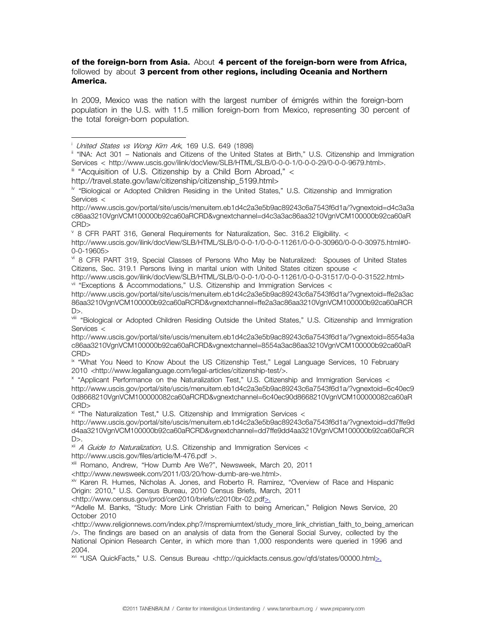## **of the foreign-born from Asia.** About **4 percent of the foreign-born were from Africa,**  followed by about **3 percent from other regions, including Oceania and Northern America.**

In 2009, Mexico was the nation with the largest number of émigrés within the foreign-born population in the U.S. with 11.5 million foreign-born from Mexico, representing 30 percent of the total foreign-born population.

iii "Acquisition of U.S. Citizenship by a Child Born Abroad," <

 $V$  8 CFR PART 316, General Requirements for Naturalization, Sec. 316.2 Eligibility.  $<$ 

vi 8 CFR PART 319, Special Classes of Persons Who May be Naturalized: Spouses of United States Citizens, Sec. 319.1 Persons living in marital union with United States citizen spouse <

http://www.uscis.gov/ilink/docView/SLB/HTML/SLB/0-0-0-1/0-0-0-11261/0-0-0-31517/0-0-0-31522.html>  $V$ <sup>ii</sup> "Exceptions & Accommodations," U.S. Citizenship and Immigration Services <

ix "What You Need to Know About the US Citizenship Test," Legal Language Services, 10 February 2010 <http://www.legallanguage.com/legal-articles/citizenship-test/>.

<sup>x</sup> "Applicant Performance on the Naturalization Test," U.S. Citizenship and Immigration Services < http://www.uscis.gov/portal/site/uscis/menuitem.eb1d4c2a3e5b9ac89243c6a7543f6d1a/?vgnextoid=6c40ec9 0d8668210VgnVCM100000082ca60aRCRD&vgnextchannel=6c40ec90d8668210VgnVCM100000082ca60aR CRD>

 $x$ <sup>i</sup> "The Naturalization Test," U.S. Citizenship and Immigration Services  $\lt$ 

http://www.uscis.gov/portal/site/uscis/menuitem.eb1d4c2a3e5b9ac89243c6a7543f6d1a/?vgnextoid=dd7ffe9d d4aa3210VgnVCM100000b92ca60aRCRD&vgnextchannel=dd7ffe9dd4aa3210VgnVCM100000b92ca60aRCR  $D$ 

 $xii$  *A Guide to Naturalization*, U.S. Citizenship and Immigration Services <

http://www.uscis.gov/files/article/M-476.pdf >.

xiii Romano, Andrew, "How Dumb Are We?", Newsweek, March 20, 2011

<http://www.newsweek.com/2011/03/20/how-dumb-are-we.html>.

xiv Karen R. Humes, Nicholas A. Jones, and Roberto R. Ramirez, "Overview of Race and Hispanic

Origin: 2010," U.S. Census Bureau, 2010 Census Briefs, March, 2011

<http://www.census.gov/prod/cen2010/briefs/c2010br-02.pdf>.

xvAdelle M. Banks, "Study: More Link Christian Faith to being American," Religion News Service, 20 October 2010

<http://www.religionnews.com/index.php?/rnspremiumtext/study\_more\_link\_christian\_faith\_to\_being\_american />. The findings are based on an analysis of data from the General Social Survey, collected by the National Opinion Research Center, in which more than 1,000 respondents were queried in 1996 and 2004.

xvi "USA QuickFacts," U.S. Census Bureau <http://quickfacts.census.gov/qfd/states/00000.html>.

a<br>B <sup>i</sup> United States vs Wong Kim Ark, 169 U.S. 649 (1898)

ii "INA: Act 301 - Nationals and Citizens of the United States at Birth," U.S. Citizenship and Immigration Services < http://www.uscis.gov/ilink/docView/SLB/HTML/SLB/0-0-0-1/0-0-0-29/0-0-0-9679.html>.

http://travel.state.gov/law/citizenship/citizenship\_5199.html><br>iv "Biological or Adopted Children Residing in the United States," U.S. Citizenship and Immigration Services <

http://www.uscis.gov/portal/site/uscis/menuitem.eb1d4c2a3e5b9ac89243c6a7543f6d1a/?vgnextoid=d4c3a3a c86aa3210VgnVCM100000b92ca60aRCRD&vgnextchannel=d4c3a3ac86aa3210VgnVCM100000b92ca60aR CRD>

http://www.uscis.gov/ilink/docView/SLB/HTML/SLB/0-0-0-1/0-0-0-11261/0-0-0-30960/0-0-0-30975.html#0- 0-0-19605>

http://www.uscis.gov/portal/site/uscis/menuitem.eb1d4c2a3e5b9ac89243c6a7543f6d1a/?vgnextoid=ffe2a3ac 86aa3210VgnVCM100000b92ca60aRCRD&vgnextchannel=ffe2a3ac86aa3210VgnVCM100000b92ca60aRCR  $D$ 

viii "Biological or Adopted Children Residing Outside the United States," U.S. Citizenship and Immigration Services <

http://www.uscis.gov/portal/site/uscis/menuitem.eb1d4c2a3e5b9ac89243c6a7543f6d1a/?vgnextoid=8554a3a c86aa3210VgnVCM100000b92ca60aRCRD&vgnextchannel=8554a3ac86aa3210VgnVCM100000b92ca60aR CRD>